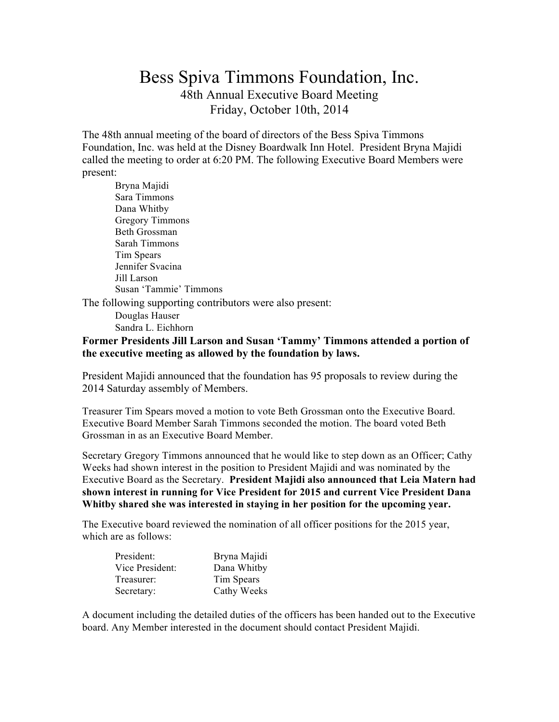# Bess Spiva Timmons Foundation, Inc. 48th Annual Executive Board Meeting Friday, October 10th, 2014

The 48th annual meeting of the board of directors of the Bess Spiva Timmons Foundation, Inc. was held at the Disney Boardwalk Inn Hotel. President Bryna Majidi called the meeting to order at 6:20 PM. The following Executive Board Members were present:

Bryna Majidi Sara Timmons Dana Whitby Gregory Timmons Beth Grossman Sarah Timmons Tim Spears Jennifer Svacina Jill Larson Susan 'Tammie' Timmons

The following supporting contributors were also present:

Douglas Hauser Sandra L. Eichhorn

#### **Former Presidents Jill Larson and Susan 'Tammy' Timmons attended a portion of the executive meeting as allowed by the foundation by laws.**

President Majidi announced that the foundation has 95 proposals to review during the 2014 Saturday assembly of Members.

Treasurer Tim Spears moved a motion to vote Beth Grossman onto the Executive Board. Executive Board Member Sarah Timmons seconded the motion. The board voted Beth Grossman in as an Executive Board Member.

Secretary Gregory Timmons announced that he would like to step down as an Officer; Cathy Weeks had shown interest in the position to President Majidi and was nominated by the Executive Board as the Secretary. **President Majidi also announced that Leia Matern had shown interest in running for Vice President for 2015 and current Vice President Dana Whitby shared she was interested in staying in her position for the upcoming year.**

The Executive board reviewed the nomination of all officer positions for the 2015 year, which are as follows:

| President:      | Bryna Majidi |
|-----------------|--------------|
| Vice President: | Dana Whitby  |
| Treasurer:      | Tim Spears   |
| Secretary:      | Cathy Weeks  |

A document including the detailed duties of the officers has been handed out to the Executive board. Any Member interested in the document should contact President Majidi.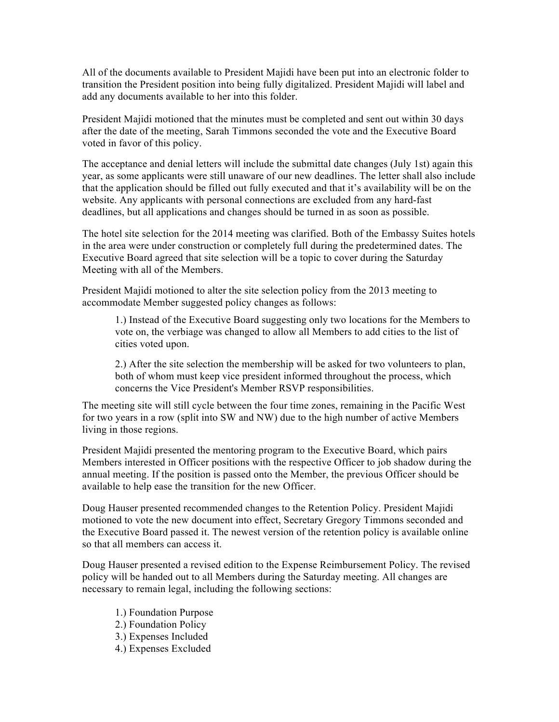All of the documents available to President Majidi have been put into an electronic folder to transition the President position into being fully digitalized. President Majidi will label and add any documents available to her into this folder.

President Majidi motioned that the minutes must be completed and sent out within 30 days after the date of the meeting, Sarah Timmons seconded the vote and the Executive Board voted in favor of this policy.

The acceptance and denial letters will include the submittal date changes (July 1st) again this year, as some applicants were still unaware of our new deadlines. The letter shall also include that the application should be filled out fully executed and that it's availability will be on the website. Any applicants with personal connections are excluded from any hard-fast deadlines, but all applications and changes should be turned in as soon as possible.

The hotel site selection for the 2014 meeting was clarified. Both of the Embassy Suites hotels in the area were under construction or completely full during the predetermined dates. The Executive Board agreed that site selection will be a topic to cover during the Saturday Meeting with all of the Members.

President Majidi motioned to alter the site selection policy from the 2013 meeting to accommodate Member suggested policy changes as follows:

1.) Instead of the Executive Board suggesting only two locations for the Members to vote on, the verbiage was changed to allow all Members to add cities to the list of cities voted upon.

2.) After the site selection the membership will be asked for two volunteers to plan, both of whom must keep vice president informed throughout the process, which concerns the Vice President's Member RSVP responsibilities.

The meeting site will still cycle between the four time zones, remaining in the Pacific West for two years in a row (split into SW and NW) due to the high number of active Members living in those regions.

President Majidi presented the mentoring program to the Executive Board, which pairs Members interested in Officer positions with the respective Officer to job shadow during the annual meeting. If the position is passed onto the Member, the previous Officer should be available to help ease the transition for the new Officer.

Doug Hauser presented recommended changes to the Retention Policy. President Majidi motioned to vote the new document into effect, Secretary Gregory Timmons seconded and the Executive Board passed it. The newest version of the retention policy is available online so that all members can access it.

Doug Hauser presented a revised edition to the Expense Reimbursement Policy. The revised policy will be handed out to all Members during the Saturday meeting. All changes are necessary to remain legal, including the following sections:

1.) Foundation Purpose 2.) Foundation Policy 3.) Expenses Included 4.) Expenses Excluded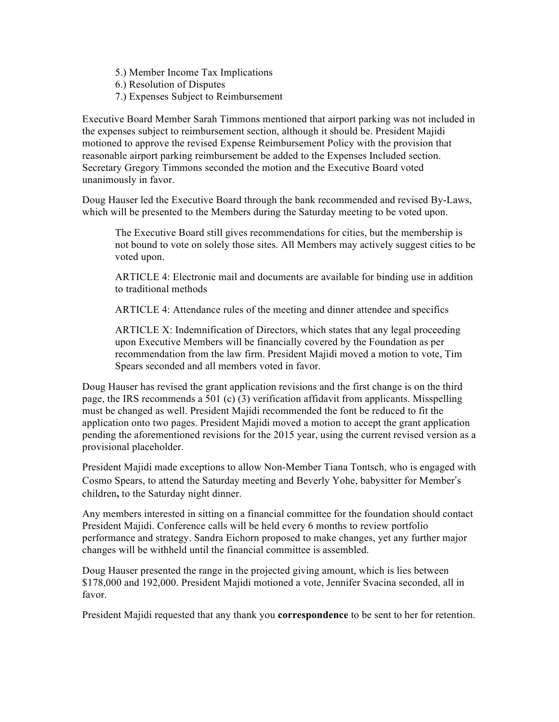5.) Member Income Tax Implications

6.) Resolution of Disputes

7.) Expenses Subject to Reimbursement

Executive Board Member Sarah Timmons mentioned that airport parking was not included in the expenses subject to reimbursement section, although it should be. President Majidi motioned to approve the revised Expense Reimbursement Policy with the provision that reasonable airport parking reimbursement be added to the Expenses Included section. Secretary Gregory Timmons seconded the motion and the Executive Board voted unanimously in favor.

Doug Hauser led the Executive Board through the bank recommended and revised By-Laws, which will be presented to the Members during the Saturday meeting to be voted upon.

The Executive Board still gives recommendations for cities, but the membership is not bound to vote on solely those sites. All Members may actively suggest cities to be voted upon.

ARTICLE 4: Electronic mail and documents are available for binding use in addition to traditional methods

ARTICLE 4: Attendance rules of the meeting and dinner attendee and specifics

ARTICLE X: Indemnification of Directors, which states that any legal proceeding upon Executive Members will be financially covered by the Foundation as per recommendation from the law firm. President Majidi moved a motion to vote, Tim Spears seconded and all members voted in favor.

Doug Hauser has revised the grant application revisions and the first change is on the third page, the IRS recommends a 501 (c) (3) verification affidavit from applicants. Misspelling must be changed as well. President Majidi recommended the font be reduced to fit the application onto two pages. President Majidi moved a motion to accept the grant application pending the aforementioned revisions for the 2015 year, using the current revised version as a provisional placeholder.

President Majidi made exceptions to allow Non-Member Tiana Tontsch, who is engaged with Cosmo Spears, to attend the Saturday meeting and Beverly Yohe, babysitter for Member's children**,** to the Saturday night dinner.

Any members interested in sitting on a financial committee for the foundation should contact President Majidi. Conference calls will be held every 6 months to review portfolio performance and strategy. Sandra Eichorn proposed to make changes, yet any further major changes will be withheld until the financial committee is assembled.

Doug Hauser presented the range in the projected giving amount, which is lies between \$178,000 and 192,000. President Majidi motioned a vote, Jennifer Svacina seconded, all in favor.

President Majidi requested that any thank you **correspondence** to be sent to her for retention.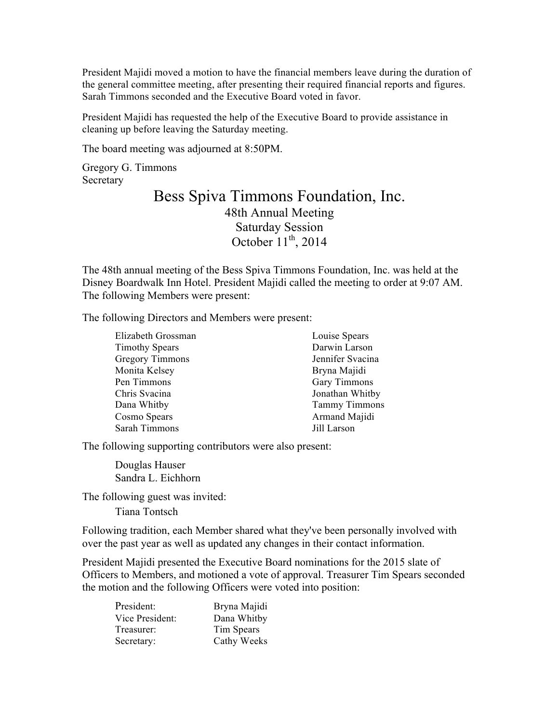President Majidi moved a motion to have the financial members leave during the duration of the general committee meeting, after presenting their required financial reports and figures. Sarah Timmons seconded and the Executive Board voted in favor.

President Majidi has requested the help of the Executive Board to provide assistance in cleaning up before leaving the Saturday meeting.

The board meeting was adjourned at 8:50PM.

Gregory G. Timmons **Secretary** 

### Bess Spiva Timmons Foundation, Inc. 48th Annual Meeting Saturday Session October  $11^{th}$ , 2014

The 48th annual meeting of the Bess Spiva Timmons Foundation, Inc. was held at the Disney Boardwalk Inn Hotel. President Majidi called the meeting to order at 9:07 AM. The following Members were present:

The following Directors and Members were present:

| Elizabeth Grossman     | Louise Spears        |
|------------------------|----------------------|
| <b>Timothy Spears</b>  | Darwin Larson        |
| <b>Gregory Timmons</b> | Jennifer Svacina     |
| Monita Kelsey          | Bryna Majidi         |
| Pen Timmons            | Gary Timmons         |
| Chris Svacina          | Jonathan Whitby      |
| Dana Whitby            | <b>Tammy Timmons</b> |
| Cosmo Spears           | Armand Majidi        |
| Sarah Timmons          | Jill Larson          |

The following supporting contributors were also present:

Douglas Hauser Sandra L. Eichhorn

The following guest was invited:

Tiana Tontsch

Following tradition, each Member shared what they've been personally involved with over the past year as well as updated any changes in their contact information.

President Majidi presented the Executive Board nominations for the 2015 slate of Officers to Members, and motioned a vote of approval. Treasurer Tim Spears seconded the motion and the following Officers were voted into position:

| President:      | Bryna Majidi |
|-----------------|--------------|
| Vice President: | Dana Whitby  |
| Treasurer:      | Tim Spears   |
| Secretary:      | Cathy Weeks  |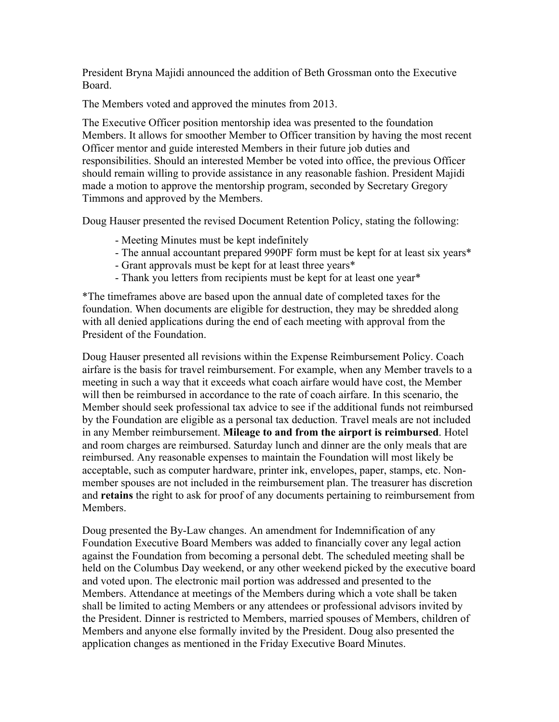President Bryna Majidi announced the addition of Beth Grossman onto the Executive Board.

The Members voted and approved the minutes from 2013.

The Executive Officer position mentorship idea was presented to the foundation Members. It allows for smoother Member to Officer transition by having the most recent Officer mentor and guide interested Members in their future job duties and responsibilities. Should an interested Member be voted into office, the previous Officer should remain willing to provide assistance in any reasonable fashion. President Majidi made a motion to approve the mentorship program, seconded by Secretary Gregory Timmons and approved by the Members.

Doug Hauser presented the revised Document Retention Policy, stating the following:

- Meeting Minutes must be kept indefinitely
- The annual accountant prepared 990PF form must be kept for at least six years\*
- Grant approvals must be kept for at least three years\*
- Thank you letters from recipients must be kept for at least one year\*

\*The timeframes above are based upon the annual date of completed taxes for the foundation. When documents are eligible for destruction, they may be shredded along with all denied applications during the end of each meeting with approval from the President of the Foundation.

Doug Hauser presented all revisions within the Expense Reimbursement Policy. Coach airfare is the basis for travel reimbursement. For example, when any Member travels to a meeting in such a way that it exceeds what coach airfare would have cost, the Member will then be reimbursed in accordance to the rate of coach airfare. In this scenario, the Member should seek professional tax advice to see if the additional funds not reimbursed by the Foundation are eligible as a personal tax deduction. Travel meals are not included in any Member reimbursement. **Mileage to and from the airport is reimbursed**. Hotel and room charges are reimbursed. Saturday lunch and dinner are the only meals that are reimbursed. Any reasonable expenses to maintain the Foundation will most likely be acceptable, such as computer hardware, printer ink, envelopes, paper, stamps, etc. Nonmember spouses are not included in the reimbursement plan. The treasurer has discretion and **retains** the right to ask for proof of any documents pertaining to reimbursement from Members.

Doug presented the By-Law changes. An amendment for Indemnification of any Foundation Executive Board Members was added to financially cover any legal action against the Foundation from becoming a personal debt. The scheduled meeting shall be held on the Columbus Day weekend, or any other weekend picked by the executive board and voted upon. The electronic mail portion was addressed and presented to the Members. Attendance at meetings of the Members during which a vote shall be taken shall be limited to acting Members or any attendees or professional advisors invited by the President. Dinner is restricted to Members, married spouses of Members, children of Members and anyone else formally invited by the President. Doug also presented the application changes as mentioned in the Friday Executive Board Minutes.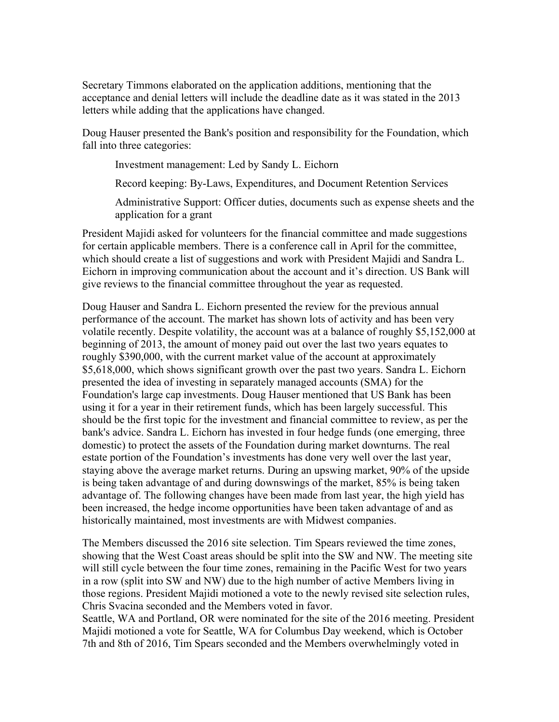Secretary Timmons elaborated on the application additions, mentioning that the acceptance and denial letters will include the deadline date as it was stated in the 2013 letters while adding that the applications have changed.

Doug Hauser presented the Bank's position and responsibility for the Foundation, which fall into three categories:

Investment management: Led by Sandy L. Eichorn

Record keeping: By-Laws, Expenditures, and Document Retention Services

Administrative Support: Officer duties, documents such as expense sheets and the application for a grant

President Majidi asked for volunteers for the financial committee and made suggestions for certain applicable members. There is a conference call in April for the committee, which should create a list of suggestions and work with President Majidi and Sandra L. Eichorn in improving communication about the account and it's direction. US Bank will give reviews to the financial committee throughout the year as requested.

Doug Hauser and Sandra L. Eichorn presented the review for the previous annual performance of the account. The market has shown lots of activity and has been very volatile recently. Despite volatility, the account was at a balance of roughly \$5,152,000 at beginning of 2013, the amount of money paid out over the last two years equates to roughly \$390,000, with the current market value of the account at approximately \$5,618,000, which shows significant growth over the past two years. Sandra L. Eichorn presented the idea of investing in separately managed accounts (SMA) for the Foundation's large cap investments. Doug Hauser mentioned that US Bank has been using it for a year in their retirement funds, which has been largely successful. This should be the first topic for the investment and financial committee to review, as per the bank's advice. Sandra L. Eichorn has invested in four hedge funds (one emerging, three domestic) to protect the assets of the Foundation during market downturns. The real estate portion of the Foundation's investments has done very well over the last year, staying above the average market returns. During an upswing market, 90% of the upside is being taken advantage of and during downswings of the market, 85% is being taken advantage of. The following changes have been made from last year, the high yield has been increased, the hedge income opportunities have been taken advantage of and as historically maintained, most investments are with Midwest companies.

The Members discussed the 2016 site selection. Tim Spears reviewed the time zones, showing that the West Coast areas should be split into the SW and NW. The meeting site will still cycle between the four time zones, remaining in the Pacific West for two years in a row (split into SW and NW) due to the high number of active Members living in those regions. President Majidi motioned a vote to the newly revised site selection rules, Chris Svacina seconded and the Members voted in favor.

Seattle, WA and Portland, OR were nominated for the site of the 2016 meeting. President Majidi motioned a vote for Seattle, WA for Columbus Day weekend, which is October 7th and 8th of 2016, Tim Spears seconded and the Members overwhelmingly voted in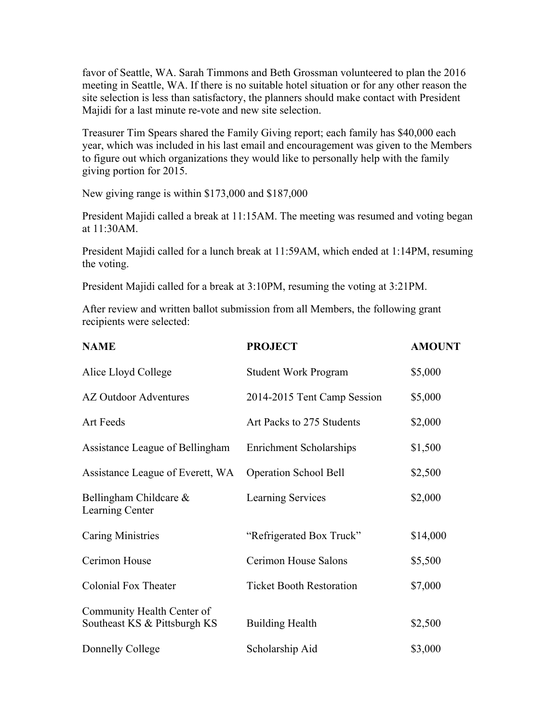favor of Seattle, WA. Sarah Timmons and Beth Grossman volunteered to plan the 2016 meeting in Seattle, WA. If there is no suitable hotel situation or for any other reason the site selection is less than satisfactory, the planners should make contact with President Majidi for a last minute re-vote and new site selection.

Treasurer Tim Spears shared the Family Giving report; each family has \$40,000 each year, which was included in his last email and encouragement was given to the Members to figure out which organizations they would like to personally help with the family giving portion for 2015.

New giving range is within \$173,000 and \$187,000

President Majidi called a break at 11:15AM. The meeting was resumed and voting began at 11:30AM.

President Majidi called for a lunch break at 11:59AM, which ended at 1:14PM, resuming the voting.

President Majidi called for a break at 3:10PM, resuming the voting at 3:21PM.

After review and written ballot submission from all Members, the following grant recipients were selected:

| <b>NAME</b>                                                | <b>PROJECT</b>                  | <b>AMOUNT</b> |
|------------------------------------------------------------|---------------------------------|---------------|
| Alice Lloyd College                                        | <b>Student Work Program</b>     | \$5,000       |
| <b>AZ Outdoor Adventures</b>                               | 2014-2015 Tent Camp Session     | \$5,000       |
| <b>Art Feeds</b>                                           | Art Packs to 275 Students       | \$2,000       |
| Assistance League of Bellingham                            | <b>Enrichment Scholarships</b>  | \$1,500       |
| Assistance League of Everett, WA                           | <b>Operation School Bell</b>    | \$2,500       |
| Bellingham Childcare $\&$<br>Learning Center               | Learning Services               | \$2,000       |
| <b>Caring Ministries</b>                                   | "Refrigerated Box Truck"        | \$14,000      |
| Cerimon House                                              | Cerimon House Salons            | \$5,500       |
| <b>Colonial Fox Theater</b>                                | <b>Ticket Booth Restoration</b> | \$7,000       |
| Community Health Center of<br>Southeast KS & Pittsburgh KS | <b>Building Health</b>          | \$2,500       |
| Donnelly College                                           | Scholarship Aid                 | \$3,000       |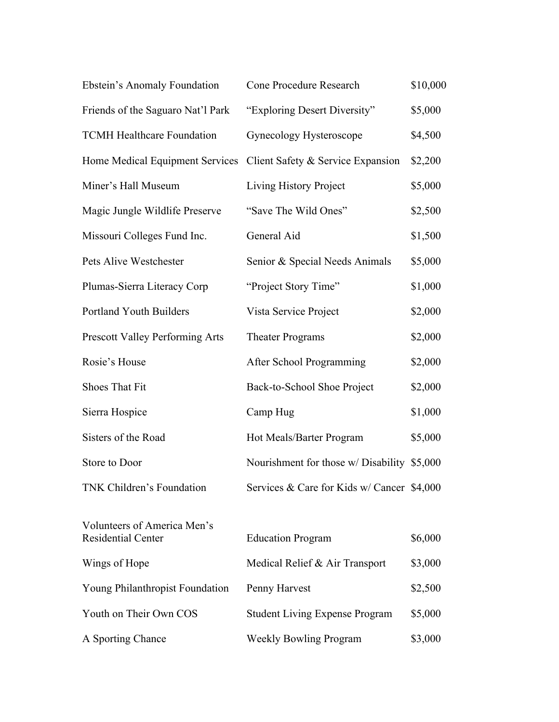| Ebstein's Anomaly Foundation                                      | Cone Procedure Research                     | \$10,000 |
|-------------------------------------------------------------------|---------------------------------------------|----------|
| Friends of the Saguaro Nat'l Park                                 | "Exploring Desert Diversity"                | \$5,000  |
| <b>TCMH Healthcare Foundation</b>                                 | Gynecology Hysteroscope                     | \$4,500  |
| Home Medical Equipment Services Client Safety & Service Expansion |                                             | \$2,200  |
| Miner's Hall Museum                                               | Living History Project                      | \$5,000  |
| Magic Jungle Wildlife Preserve                                    | "Save The Wild Ones"                        | \$2,500  |
| Missouri Colleges Fund Inc.                                       | General Aid                                 | \$1,500  |
| Pets Alive Westchester                                            | Senior & Special Needs Animals              | \$5,000  |
| Plumas-Sierra Literacy Corp                                       | "Project Story Time"                        | \$1,000  |
| Portland Youth Builders                                           | Vista Service Project                       | \$2,000  |
| Prescott Valley Performing Arts                                   | <b>Theater Programs</b>                     | \$2,000  |
| Rosie's House                                                     | After School Programming                    | \$2,000  |
| Shoes That Fit                                                    | Back-to-School Shoe Project                 | \$2,000  |
| Sierra Hospice                                                    | Camp Hug                                    | \$1,000  |
| Sisters of the Road                                               | Hot Meals/Barter Program                    | \$5,000  |
| Store to Door                                                     | Nourishment for those w/ Disability \$5,000 |          |
| <b>TNK Children's Foundation</b>                                  | Services & Care for Kids w/ Cancer \$4,000  |          |
|                                                                   |                                             |          |
| Volunteers of America Men's<br><b>Residential Center</b>          | <b>Education Program</b>                    | \$6,000  |
| Wings of Hope                                                     | Medical Relief & Air Transport              | \$3,000  |
| Young Philanthropist Foundation                                   | Penny Harvest                               | \$2,500  |
| Youth on Their Own COS                                            | <b>Student Living Expense Program</b>       | \$5,000  |
| A Sporting Chance                                                 | <b>Weekly Bowling Program</b>               | \$3,000  |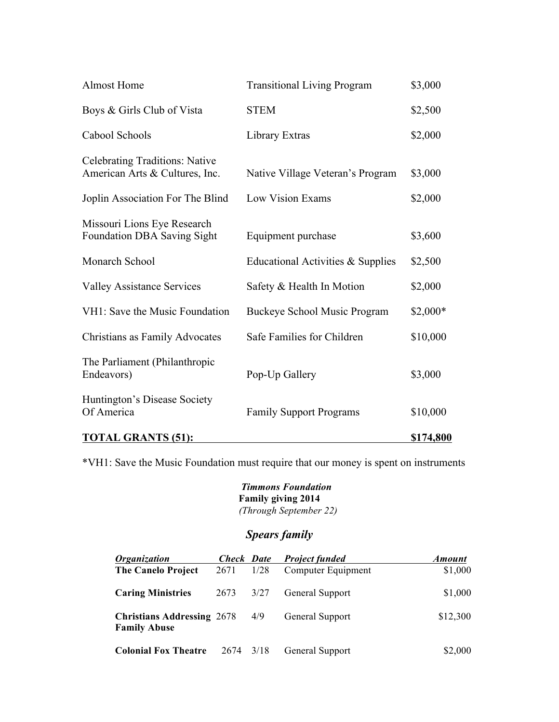| <b>Almost Home</b>                                                      | <b>Transitional Living Program</b> | \$3,000          |
|-------------------------------------------------------------------------|------------------------------------|------------------|
| Boys & Girls Club of Vista                                              | <b>STEM</b>                        | \$2,500          |
| Cabool Schools                                                          | Library Extras                     | \$2,000          |
| <b>Celebrating Traditions: Native</b><br>American Arts & Cultures, Inc. | Native Village Veteran's Program   | \$3,000          |
| Joplin Association For The Blind                                        | Low Vision Exams                   | \$2,000          |
| Missouri Lions Eye Research<br><b>Foundation DBA Saving Sight</b>       | Equipment purchase                 | \$3,600          |
| Monarch School                                                          | Educational Activities & Supplies  | \$2,500          |
| <b>Valley Assistance Services</b>                                       | Safety & Health In Motion          | \$2,000          |
| VH1: Save the Music Foundation                                          | Buckeye School Music Program       | $$2,000*$        |
| Christians as Family Advocates                                          | Safe Families for Children         | \$10,000         |
| The Parliament (Philanthropic<br>Endeavors)                             | Pop-Up Gallery                     | \$3,000          |
| Huntington's Disease Society<br>Of America                              | <b>Family Support Programs</b>     | \$10,000         |
| <b>TOTAL GRANTS (51):</b>                                               |                                    | <u>\$174,800</u> |

\*VH1: Save the Music Foundation must require that our money is spent on instruments

 *Timmons Foundation* **Family giving 2014**  *(Through September 22)*

### *Spears family*

| <i><b>Organization</b></i>                               | <b>Check</b> Date |      | <b>Project funded</b> | <b>Amount</b> |
|----------------------------------------------------------|-------------------|------|-----------------------|---------------|
| <b>The Canelo Project</b>                                | 2671              | 1/28 | Computer Equipment    | \$1,000       |
| <b>Caring Ministries</b>                                 | 2673              | 3/27 | General Support       | \$1,000       |
| <b>Christians Addressing 2678</b><br><b>Family Abuse</b> |                   | 4/9  | General Support       | \$12,300      |
| <b>Colonial Fox Theatre</b>                              | 2674              | 3/18 | General Support       | \$2,000       |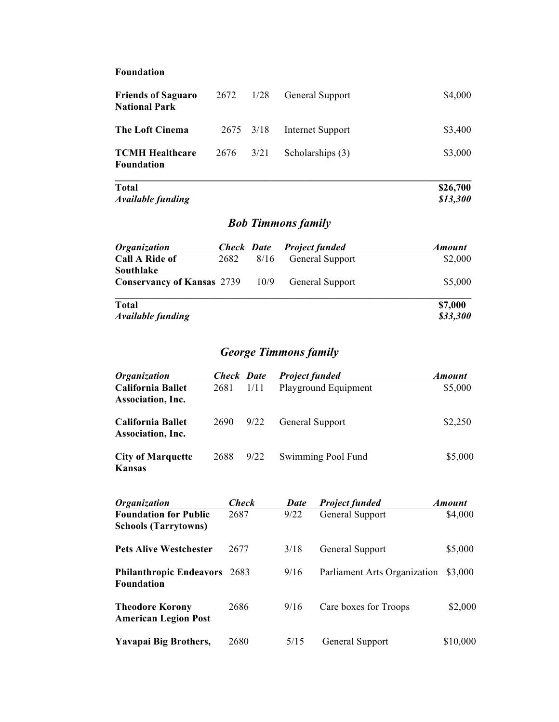#### **Foundation**

| <b>Friends of Saguaro</b><br><b>National Park</b> | 2672 1/28 |      | <b>General Support</b> | \$4,000  |
|---------------------------------------------------|-----------|------|------------------------|----------|
| The Loft Cinema                                   | 2675 3/18 |      | Internet Support       | \$3,400  |
| <b>TCMH Healthcare</b><br>Foundation              | 2676      | 3/21 | Scholarships (3)       | \$3,000  |
| Total                                             |           |      |                        | \$26,700 |

*Available funding* \$13,300

# *Bob Timmons family*

| <i><b>Organization</b></i>                                          | <b>Check Date</b> |           | <b>Project funded</b>  | <b>Amount</b>       |
|---------------------------------------------------------------------|-------------------|-----------|------------------------|---------------------|
| <b>Call A Ride of</b>                                               |                   | 2682 8/16 | <b>General Support</b> | \$2,000             |
| Southlake<br><b>Conservancy of Kansas</b> 2739 10/9 General Support |                   |           |                        | \$5,000             |
| <b>Total</b><br><b>Available funding</b>                            |                   |           |                        | \$7,000<br>\$33,300 |

## *George Timmons family*

| <i><b>Organization</b></i>                    |      | <b>Check</b> Date | <b>Project funded</b>  | <b>Amount</b> |
|-----------------------------------------------|------|-------------------|------------------------|---------------|
| <b>California Ballet</b><br>Association, Inc. | 2681 | 1/11              | Playground Equipment   | \$5,000       |
| California Ballet<br>Association, Inc.        | 2690 | 9/22              | <b>General Support</b> | \$2,250       |
| <b>City of Marquette</b><br>Kansas            | 2688 | 9/22              | Swimming Pool Fund     | \$5,000       |

| <i><b>Organization</b></i>                                  | <b>Check</b> | <b>Date</b> | <b>Project funded</b>        | <b>Amount</b> |
|-------------------------------------------------------------|--------------|-------------|------------------------------|---------------|
| <b>Foundation for Public</b><br><b>Schools (Tarrytowns)</b> | 2687         | 9/22        | General Support              | \$4,000       |
| <b>Pets Alive Westchester</b>                               | 2677         | 3/18        | General Support              | \$5,000       |
| <b>Philanthropic Endeavors</b> 2683<br><b>Foundation</b>    |              | 9/16        | Parliament Arts Organization | \$3,000       |
| <b>Theodore Korony</b><br><b>American Legion Post</b>       | 2686         | 9/16        | Care boxes for Troops        | \$2,000       |
| Yavapai Big Brothers,                                       | 2680         | 5/15        | <b>General Support</b>       | \$10,000      |